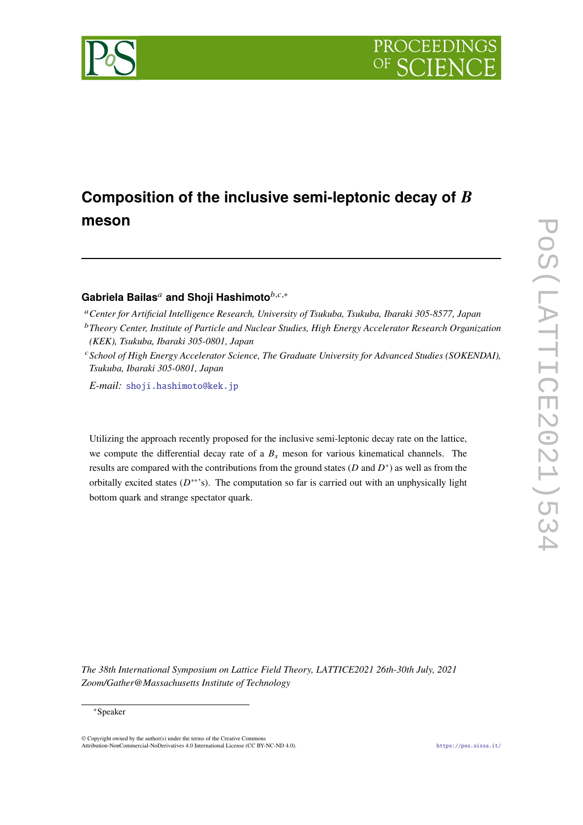

# Composition of the inclusive semi-leptonic decay of B **meson**

# Gabriela Bailas<sup>a</sup> and Shoji Hashimoto<sup>*b,c,\**</sup>

<sup>𝑎</sup>*Center for Artificial Intelligence Research, University of Tsukuba, Tsukuba, Ibaraki 305-8577, Japan*

- <sup>b</sup> Theory Center, Institute of Particle and Nuclear Studies, High Energy Accelerator Research Organization *(KEK), Tsukuba, Ibaraki 305-0801, Japan*
- <sup>c</sup> School of High Energy Accelerator Science, The Graduate University for Advanced Studies (SOKENDAI), *Tsukuba, Ibaraki 305-0801, Japan*

*E-mail:* [shoji.hashimoto@kek.jp](mailto:shoji.hashimoto@kek.jp)

Utilizing the approach recently proposed for the inclusive semi-leptonic decay rate on the lattice, we compute the differential decay rate of a  $B_s$  meson for various kinematical channels. The results are compared with the contributions from the ground states  $(D \text{ and } D^*)$  as well as from the orbitally excited states  $(D^{**})$ . The computation so far is carried out with an unphysically light bottom quark and strange spectator quark.

*The 38th International Symposium on Lattice Field Theory, LATTICE2021 26th-30th July, 2021 Zoom/Gather@Massachusetts Institute of Technology*

<sup>∗</sup>Speaker

 $\odot$  Copyright owned by the author(s) under the terms of the Creative Common Attribution-NonCommercial-NoDerivatives 4.0 International License (CC BY-NC-ND 4.0). <https://pos.sissa.it/>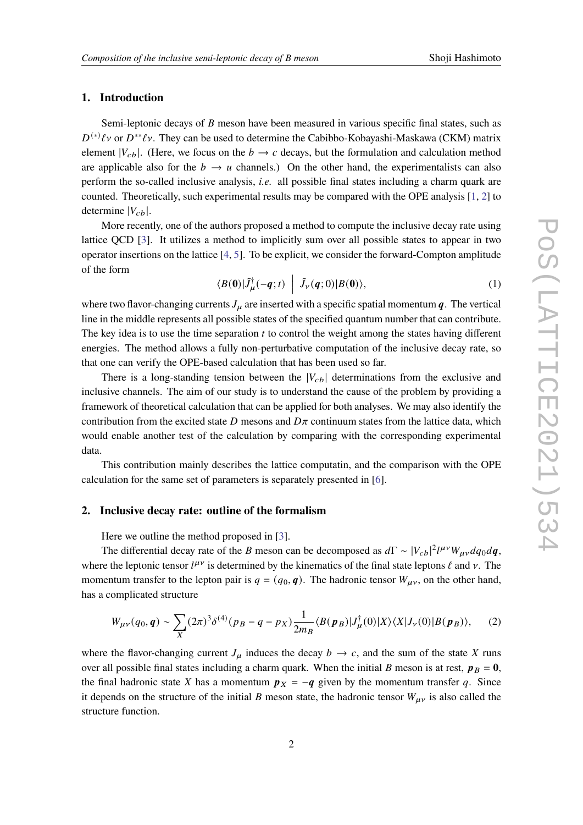#### **1. Introduction**

Semi-leptonic decays of  $B$  meson have been measured in various specific final states, such as  $D^{(*)}\ell v$  or  $D^{**}\ell v$ . They can be used to determine the Cabibbo-Kobayashi-Maskawa (CKM) matrix element  $|V_{cb}|$ . (Here, we focus on the  $b \rightarrow c$  decays, but the formulation and calculation method are applicable also for the  $b \rightarrow u$  channels.) On the other hand, the experimentalists can also perform the so-called inclusive analysis, *i.e.* all possible final states including a charm quark are counted. Theoretically, such experimental results may be compared with the OPE analysis [\[1,](#page-6-0) [2\]](#page-6-1) to determine  $|V_{ch}|$ .

More recently, one of the authors proposed a method to compute the inclusive decay rate using lattice QCD [\[3\]](#page-6-2). It utilizes a method to implicitly sum over all possible states to appear in two operator insertions on the lattice [\[4,](#page-6-3) [5\]](#page-6-4). To be explicit, we consider the forward-Compton amplitude of the form

<span id="page-1-0"></span>
$$
\langle B(\mathbf{0})|\tilde{J}_{\mu}^{\dagger}(-\boldsymbol{q};t)\ \Big|\ \tilde{J}_{\nu}(\boldsymbol{q};0)|B(\mathbf{0})\rangle, \tag{1}
$$

where two flavor-changing currents  $J_{\mu}$  are inserted with a specific spatial momentum  $q$ . The vertical line in the middle represents all possible states of the specified quantum number that can contribute. The key idea is to use the time separation  $t$  to control the weight among the states having different energies. The method allows a fully non-perturbative computation of the inclusive decay rate, so that one can verify the OPE-based calculation that has been used so far.

There is a long-standing tension between the  $|V_{cb}|$  determinations from the exclusive and inclusive channels. The aim of our study is to understand the cause of the problem by providing a framework of theoretical calculation that can be applied for both analyses. We may also identify the contribution from the excited state D mesons and  $D\pi$  continuum states from the lattice data, which would enable another test of the calculation by comparing with the corresponding experimental data.

This contribution mainly describes the lattice computatin, and the comparison with the OPE calculation for the same set of parameters is separately presented in [\[6\]](#page-6-5).

#### **2. Inclusive decay rate: outline of the formalism**

Here we outline the method proposed in [\[3\]](#page-6-2).

The differential decay rate of the B meson can be decomposed as  $d\Gamma \sim |V_{cb}|^2 l^{\mu\nu} W_{\mu\nu} dq_0 dq$ , where the leptonic tensor  $l^{\mu\nu}$  is determined by the kinematics of the final state leptons  $\ell$  and  $\nu$ . The momentum transfer to the lepton pair is  $q = (q_0, \boldsymbol{q})$ . The hadronic tensor  $W_{\mu\nu}$ , on the other hand, has a complicated structure

$$
W_{\mu\nu}(q_0, \boldsymbol{q}) \sim \sum_X (2\pi)^3 \delta^{(4)}(p_B - q - p_X) \frac{1}{2m_B} \langle B(\boldsymbol{p}_B) | J_\mu^\dagger(0) | X \rangle \langle X | J_\nu(0) | B(\boldsymbol{p}_B) \rangle, \tag{2}
$$

where the flavor-changing current  $J_{\mu}$  induces the decay  $b \to c$ , and the sum of the state X runs over all possible final states including a charm quark. When the initial B meson is at rest,  $p_B = 0$ , the final hadronic state X has a momentum  $p_X = -q$  given by the momentum transfer q. Since it depends on the structure of the initial B meson state, the hadronic tensor  $W_{\mu\nu}$  is also called the structure function.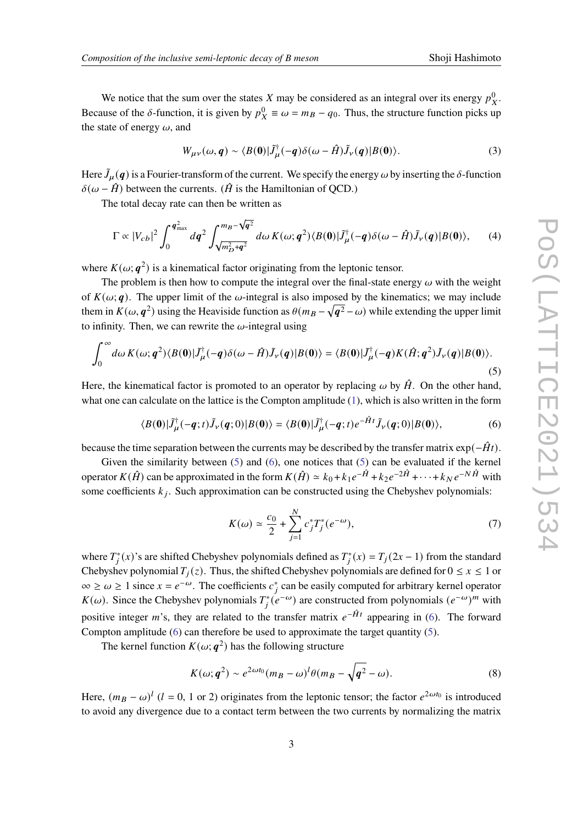We notice that the sum over the states X may be considered as an integral over its energy  $p_X^0$ . Because of the  $\delta$ -function, it is given by  $p_X^0 \equiv \omega = m_B - q_0$ . Thus, the structure function picks up the state of energy  $\omega$ , and

$$
W_{\mu\nu}(\omega, \mathbf{q}) \sim \langle B(\mathbf{0}) | \tilde{J}_{\mu}^{\dagger}(-\mathbf{q}) \delta(\omega - \hat{H}) \tilde{J}_{\nu}(\mathbf{q}) | B(\mathbf{0}) \rangle. \tag{3}
$$

Here  $\tilde{J}_{\mu}(q)$  is a Fourier-transform of the current. We specify the energy  $\omega$  by inserting the  $\delta$ -function  $\delta(\omega - \hat{H})$  between the currents. ( $\hat{H}$  is the Hamiltonian of QCD.)

The total decay rate can then be written as

<span id="page-2-2"></span>
$$
\Gamma \propto |V_{cb}|^2 \int_0^{\mathbf{q}_{\text{max}}^2} dq^2 \int_{\sqrt{m_D^2 + \mathbf{q}^2}}^{m_B - \sqrt{\mathbf{q}^2}} d\omega \, K(\omega; \mathbf{q}^2) \langle B(\mathbf{0}) | \tilde{J}_{\mu}^{\dagger}(-\mathbf{q}) \delta(\omega - \hat{H}) \tilde{J}_{\nu}(\mathbf{q}) | B(\mathbf{0}) \rangle, \tag{4}
$$

where  $K(\omega; \mathbf{q}^2)$  is a kinematical factor originating from the leptonic tensor.

The problem is then how to compute the integral over the final-state energy  $\omega$  with the weight of  $K(\omega; \mathbf{q})$ . The upper limit of the  $\omega$ -integral is also imposed by the kinematics; we may include them in  $K(\omega, \bm{q}^2)$  using the Heaviside function as  $\theta(m_B - \sqrt{\bm{q}^2} - \omega)$  while extending the upper limit to infinity. Then, we can rewrite the  $\omega$ -integral using

<span id="page-2-0"></span>
$$
\int_0^\infty d\omega \, K(\omega; \mathbf{q}^2) \langle B(\mathbf{0}) | \tilde{J}^{\dagger}_{\mu}(-\mathbf{q}) \delta(\omega - \hat{H}) \tilde{J}_{\nu}(\mathbf{q}) | B(\mathbf{0}) \rangle = \langle B(\mathbf{0}) | \tilde{J}^{\dagger}_{\mu}(-\mathbf{q}) K(\hat{H}; \mathbf{q}^2) \tilde{J}_{\nu}(\mathbf{q}) | B(\mathbf{0}) \rangle. \tag{5}
$$

Here, the kinematical factor is promoted to an operator by replacing  $\omega$  by  $\hat{H}$ . On the other hand, what one can calculate on the lattice is the Compton amplitude [\(1\)](#page-1-0), which is also written in the form

<span id="page-2-1"></span>
$$
\langle B(\mathbf{0})|\tilde{J}_{\mu}^{\dagger}(-\boldsymbol{q};t)\tilde{J}_{\nu}(\boldsymbol{q};0)|B(\mathbf{0})\rangle = \langle B(\mathbf{0})|\tilde{J}_{\mu}^{\dagger}(-\boldsymbol{q};t)e^{-\hat{H}t}\tilde{J}_{\nu}(\boldsymbol{q};0)|B(\mathbf{0})\rangle, \tag{6}
$$

because the time separation between the currents may be described by the transfer matrix  $\exp(-\hat{H}t)$ .

Given the similarity between [\(5\)](#page-2-0) and [\(6\)](#page-2-1), one notices that (5) can be evaluated if the kernel operator  $K(\hat{H})$  can be approximated in the form  $K(\hat{H}) \simeq k_0 + k_1 e^{-\hat{H}} + k_2 e^{-2\hat{H}} + \cdots + k_N e^{-N\hat{H}}$  with some coefficients  $k_j$ . Such approximation can be constructed using the Chebyshev polynomials:

$$
K(\omega) \simeq \frac{c_0}{2} + \sum_{j=1}^{N} c_j^* T_j^* (e^{-\omega}), \tag{7}
$$

where  $T_i^*(x)$ 's are shifted Chebyshev polynomials defined as  $T_i^*(x) = T_j(2x - 1)$  from the standard Chebyshev polynomial  $T_i(z)$ . Thus, the shifted Chebyshev polynomials are defined for  $0 \le x \le 1$  or  $\infty \ge \omega \ge 1$  since  $x = e^{-\omega}$ . The coefficients  $c_j^*$  can be easily computed for arbitrary kernel operator K( $\omega$ ). Since the Chebyshev polynomials  $T_i^*(e^{-\omega})$  are constructed from polynomials  $(e^{-\omega})^m$  with positive integer *m*'s, they are related to the transfer matrix  $e^{-\hat{H}t}$  appearing in [\(6\)](#page-2-1). The forward Compton amplitude [\(6\)](#page-2-1) can therefore be used to approximate the target quantity [\(5\)](#page-2-0).

The kernel function  $K(\omega; \mathbf{q}^2)$  has the following structure

$$
K(\omega; \boldsymbol{q}^2) \sim e^{2\omega t_0} (m_B - \omega)^l \theta (m_B - \sqrt{\boldsymbol{q}^2} - \omega).
$$
 (8)

Here,  $(m_B - \omega)^l$  ( $l = 0, 1$  or 2) originates from the leptonic tensor; the factor  $e^{2\omega t_0}$  is introduced to avoid any divergence due to a contact term between the two currents by normalizing the matrix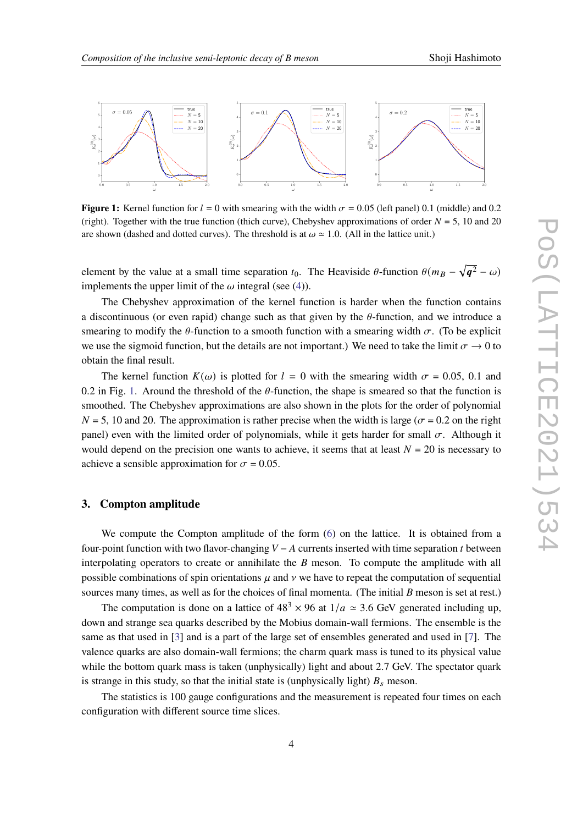<span id="page-3-0"></span>

**Figure 1:** Kernel function for  $l = 0$  with smearing with the width  $\sigma = 0.05$  (left panel) 0.1 (middle) and 0.2 (right). Together with the true function (thich curve), Chebyshev approximations of order  $N = 5$ , 10 and 20 are shown (dashed and dotted curves). The threshold is at  $\omega \approx 1.0$ . (All in the lattice unit.)

element by the value at a small time separation  $t_0$ . The Heaviside  $\theta$ -function  $\theta(m_B - \sqrt{\mathbf{q}^2} - \omega)$ implements the upper limit of the  $\omega$  integral (see [\(4\)](#page-2-2)).

The Chebyshev approximation of the kernel function is harder when the function contains a discontinuous (or even rapid) change such as that given by the  $\theta$ -function, and we introduce a smearing to modify the  $\theta$ -function to a smooth function with a smearing width  $\sigma$ . (To be explicit we use the sigmoid function, but the details are not important.) We need to take the limit  $\sigma \to 0$  to obtain the final result.

The kernel function  $K(\omega)$  is plotted for  $l = 0$  with the smearing width  $\sigma = 0.05, 0.1$  and 0.2 in Fig. [1.](#page-3-0) Around the threshold of the  $\theta$ -function, the shape is smeared so that the function is smoothed. The Chebyshev approximations are also shown in the plots for the order of polynomial  $N = 5$ , 10 and 20. The approximation is rather precise when the width is large ( $\sigma = 0.2$  on the right panel) even with the limited order of polynomials, while it gets harder for small  $\sigma$ . Although it would depend on the precision one wants to achieve, it seems that at least  $N = 20$  is necessary to achieve a sensible approximation for  $\sigma = 0.05$ .

#### **3. Compton amplitude**

We compute the Compton amplitude of the form  $(6)$  on the lattice. It is obtained from a four-point function with two flavor-changing  $V - A$  currents inserted with time separation t between interpolating operators to create or annihilate the  $B$  meson. To compute the amplitude with all possible combinations of spin orientations  $\mu$  and  $\nu$  we have to repeat the computation of sequential sources many times, as well as for the choices of final momenta. (The initial  $B$  meson is set at rest.)

The computation is done on a lattice of  $48<sup>3</sup> \times 96$  at  $1/a \approx 3.6$  GeV generated including up, down and strange sea quarks described by the Mobius domain-wall fermions. The ensemble is the same as that used in [\[3\]](#page-6-2) and is a part of the large set of ensembles generated and used in [\[7\]](#page-7-0). The valence quarks are also domain-wall fermions; the charm quark mass is tuned to its physical value while the bottom quark mass is taken (unphysically) light and about 2.7 GeV. The spectator quark is strange in this study, so that the initial state is (unphysically light)  $B_s$  meson.

The statistics is 100 gauge configurations and the measurement is repeated four times on each configuration with different source time slices.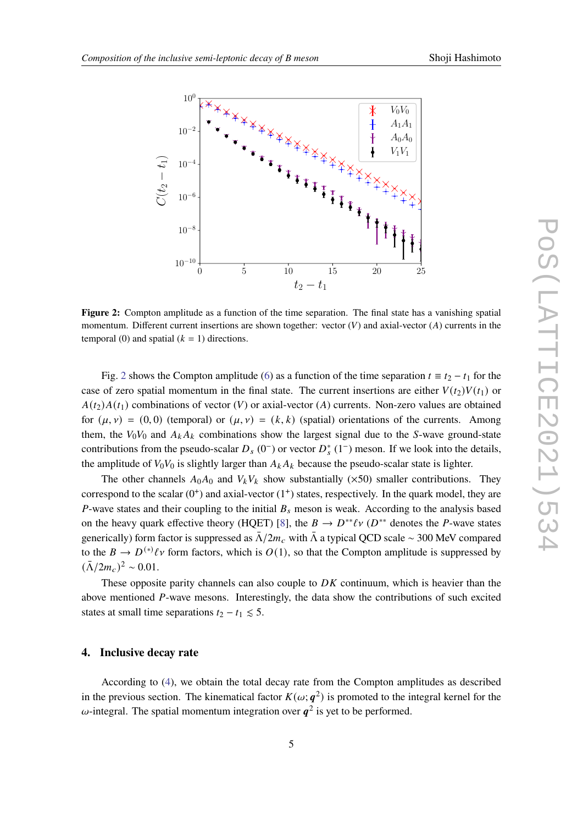<span id="page-4-0"></span>

**Figure 2:** Compton amplitude as a function of the time separation. The final state has a vanishing spatial momentum. Different current insertions are shown together: vector  $(V)$  and axial-vector  $(A)$  currents in the temporal (0) and spatial  $(k = 1)$  directions.

Fig. [2](#page-4-0) shows the Compton amplitude [\(6\)](#page-2-1) as a function of the time separation  $t = t_2 - t_1$  for the case of zero spatial momentum in the final state. The current insertions are either  $V(t_2)V(t_1)$  or  $A(t_2)A(t_1)$  combinations of vector (V) or axial-vector (A) currents. Non-zero values are obtained for  $(\mu, \nu) = (0, 0)$  (temporal) or  $(\mu, \nu) = (k, k)$  (spatial) orientations of the currents. Among them, the  $V_0V_0$  and  $A_kA_k$  combinations show the largest signal due to the S-wave ground-state contributions from the pseudo-scalar  $D_s$  (0<sup>-</sup>) or vector  $D_s^*$  (1<sup>-</sup>) meson. If we look into the details, the amplitude of  $V_0V_0$  is slightly larger than  $A_kA_k$  because the pseudo-scalar state is lighter.

The other channels  $A_0A_0$  and  $V_kV_k$  show substantially ( $\times$ 50) smaller contributions. They correspond to the scalar  $(0<sup>+</sup>)$  and axial-vector  $(1<sup>+</sup>)$  states, respectively. In the quark model, they are P-wave states and their coupling to the initial  $B_s$  meson is weak. According to the analysis based on the heavy quark effective theory (HQET) [\[8\]](#page-7-1), the  $B \to D^{**} \ell \nu$  ( $D^{**}$  denotes the P-wave states generically) form factor is suppressed as  $\bar{\Lambda}/2m_c$  with  $\bar{\Lambda}$  a typical QCD scale ~ 300 MeV compared to the  $B \to D^{(*)}\ell\nu$  form factors, which is  $O(1)$ , so that the Compton amplitude is suppressed by  $(\bar{\Lambda}/2m_c)^2 \sim 0.01$ .

These opposite parity channels can also couple to  $DK$  continuum, which is heavier than the above mentioned P-wave mesons. Interestingly, the data show the contributions of such excited states at small time separations  $t_2 - t_1 \leq 5$ .

#### **4. Inclusive decay rate**

According to [\(4\)](#page-2-2), we obtain the total decay rate from the Compton amplitudes as described in the previous section. The kinematical factor  $K(\omega; \mathbf{q}^2)$  is promoted to the integral kernel for the  $\omega$ -integral. The spatial momentum integration over  $q^2$  is yet to be performed.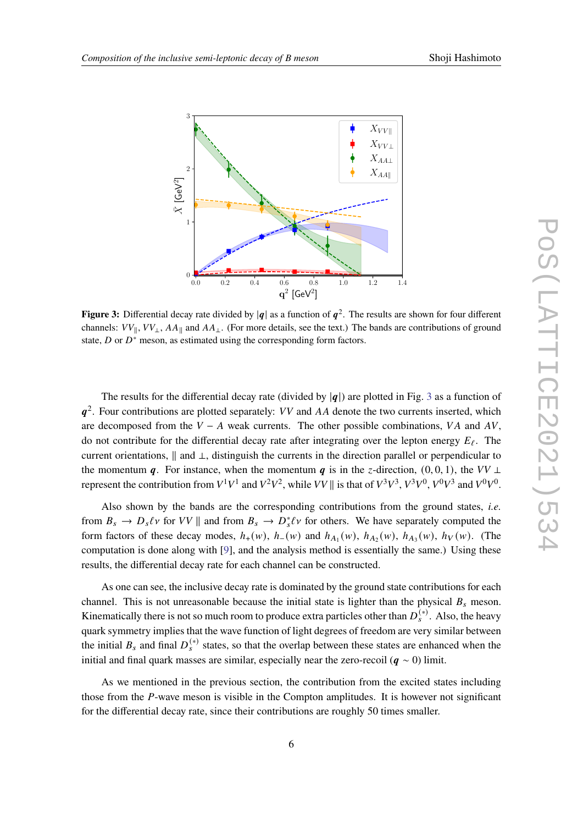<span id="page-5-0"></span>

**Figure 3:** Differential decay rate divided by  $|q|$  as a function of  $q^2$ . The results are shown for four different channels:  $VV_{\parallel}$ ,  $VV_{\perp}$ ,  $AA_{\parallel}$  and  $AA_{\perp}$ . (For more details, see the text.) The bands are contributions of ground state,  $D$  or  $D^*$  meson, as estimated using the corresponding form factors.

The results for the differential decay rate (divided by  $|q|$ ) are plotted in Fig. [3](#page-5-0) as a function of  $q^2$ . Four contributions are plotted separately: VV and AA denote the two currents inserted, which are decomposed from the  $V - A$  weak currents. The other possible combinations, VA and AV, do not contribute for the differential decay rate after integrating over the lepton energy  $E_{\ell}$ . The current orientations,  $\parallel$  and ⊥, distinguish the currents in the direction parallel or perpendicular to the momentum  $q$ . For instance, when the momentum q is in the z-direction,  $(0, 0, 1)$ , the  $VV \perp$ represent the contribution from  $V^1V^1$  and  $V^2V^2$ , while  $VV \parallel$  is that of  $V^3V^3$ ,  $V^3V^0$ ,  $V^0V^3$  and  $V^0V^0$ .

Also shown by the bands are the corresponding contributions from the ground states, *i.e.* from  $B_s \to D_s \ell \nu$  for  $VV \parallel$  and from  $B_s \to D_s^* \ell \nu$  for others. We have separately computed the form factors of these decay modes,  $h_+(w)$ ,  $h_-(w)$  and  $h_{A_1}(w)$ ,  $h_{A_2}(w)$ ,  $h_{A_3}(w)$ ,  $h_V(w)$ . (The computation is done along with [\[9\]](#page-7-2), and the analysis method is essentially the same.) Using these results, the differential decay rate for each channel can be constructed.

As one can see, the inclusive decay rate is dominated by the ground state contributions for each channel. This is not unreasonable because the initial state is lighter than the physical  $B_s$  meson. Kinematically there is not so much room to produce extra particles other than  $D_s^{(*)}$ . Also, the heavy quark symmetry implies that the wave function of light degrees of freedom are very similar between the initial  $B_s$  and final  $D_s^{(*)}$  states, so that the overlap between these states are enhanced when the initial and final quark masses are similar, especially near the zero-recoil ( $q \sim 0$ ) limit.

As we mentioned in the previous section, the contribution from the excited states including those from the P-wave meson is visible in the Compton amplitudes. It is however not significant for the differential decay rate, since their contributions are roughly 50 times smaller.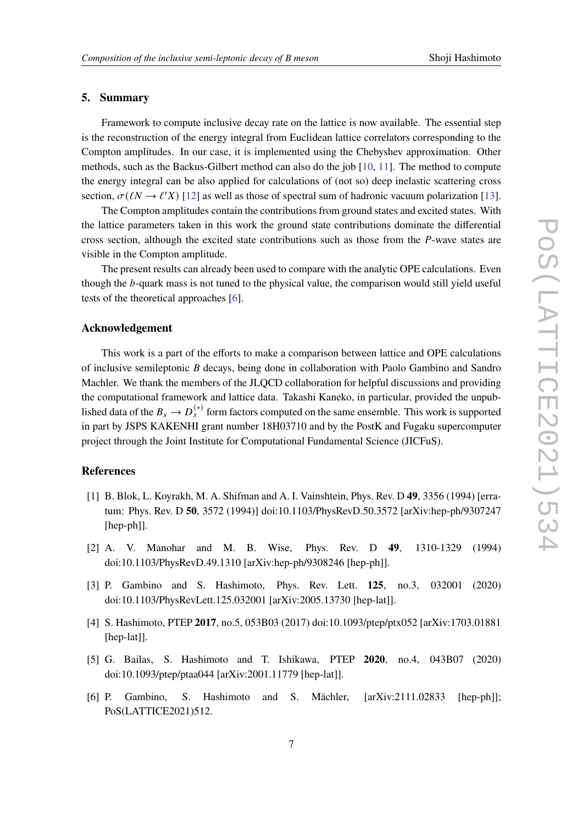### **5. Summary**

Framework to compute inclusive decay rate on the lattice is now available. The essential step is the reconstruction of the energy integral from Euclidean lattice correlators corresponding to the Compton amplitudes. In our case, it is implemented using the Chebyshev approximation. Other methods, such as the Backus-Gilbert method can also do the job [\[10,](#page-7-3) [11\]](#page-7-4). The method to compute the energy integral can be also applied for calculations of (not so) deep inelastic scattering cross section,  $\sigma(\ell N \to \ell' X)$  [\[12\]](#page-7-5) as well as those of spectral sum of hadronic vacuum polarization [\[13\]](#page-7-6).

The Compton amplitudes contain the contributions from ground states and excited states. With the lattice parameters taken in this work the ground state contributions dominate the differential cross section, although the excited state contributions such as those from the  $P$ -wave states are visible in the Compton amplitude.

The present results can already been used to compare with the analytic OPE calculations. Even though the  $b$ -quark mass is not tuned to the physical value, the comparison would still yield useful tests of the theoretical approaches [\[6\]](#page-6-5).

## **Acknowledgement**

This work is a part of the efforts to make a comparison between lattice and OPE calculations of inclusive semileptonic  $B$  decays, being done in collaboration with Paolo Gambino and Sandro Machler. We thank the members of the JLQCD collaboration for helpful discussions and providing the computational framework and lattice data. Takashi Kaneko, in particular, provided the unpublished data of the  $B_s \to D_s^{(*)}$  form factors computed on the same ensemble. This work is supported in part by JSPS KAKENHI grant number 18H03710 and by the PostK and Fugaku supercomputer project through the Joint Institute for Computational Fundamental Science (JICFuS).

# **References**

- <span id="page-6-0"></span>[1] B. Blok, L. Koyrakh, M. A. Shifman and A. I. Vainshtein, Phys. Rev. D **49**, 3356 (1994) [erratum: Phys. Rev. D **50**, 3572 (1994)] doi:10.1103/PhysRevD.50.3572 [arXiv:hep-ph/9307247 [hep-ph]].
- <span id="page-6-1"></span>[2] A. V. Manohar and M. B. Wise, Phys. Rev. D **49**, 1310-1329 (1994) doi:10.1103/PhysRevD.49.1310 [arXiv:hep-ph/9308246 [hep-ph]].
- <span id="page-6-2"></span>[3] P. Gambino and S. Hashimoto, Phys. Rev. Lett. **125**, no.3, 032001 (2020) doi:10.1103/PhysRevLett.125.032001 [arXiv:2005.13730 [hep-lat]].
- <span id="page-6-3"></span>[4] S. Hashimoto, PTEP **2017**, no.5, 053B03 (2017) doi:10.1093/ptep/ptx052 [arXiv:1703.01881 [hep-lat]].
- <span id="page-6-4"></span>[5] G. Bailas, S. Hashimoto and T. Ishikawa, PTEP **2020**, no.4, 043B07 (2020) doi:10.1093/ptep/ptaa044 [arXiv:2001.11779 [hep-lat]].
- <span id="page-6-5"></span>[6] P. Gambino, S. Hashimoto and S. Mächler, [arXiv:2111.02833 [hep-ph]]; PoS(LATTICE2021)512.